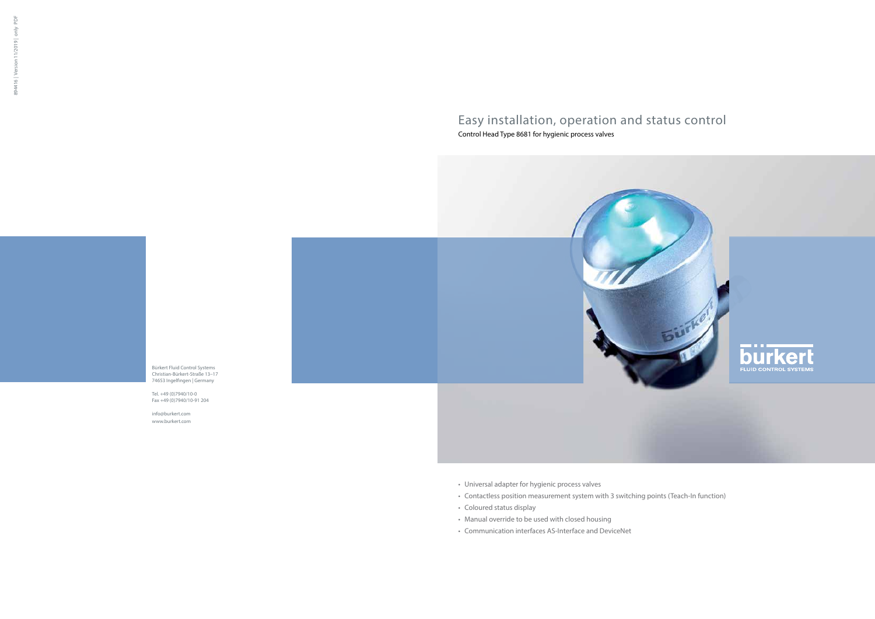# Easy installation, operation and status control

Control Head Type 8681 for hygienic process valves

- • Universal adapter for hygienic process valves
- • Contactless position measurement system with 3 switching points (Teach-In function)
- Coloured status display
- Manual override to be used with closed housing
- • Communication interfaces AS-Interface and DeviceNet



894416 | Version 11/2019 | only PDF 894416 | Version 11/2019 | only

PDF



Tel. +49 (0)7940/10-0 Fax +49 (0)7940/10-91 204

info@burkert.com www.burkert.com